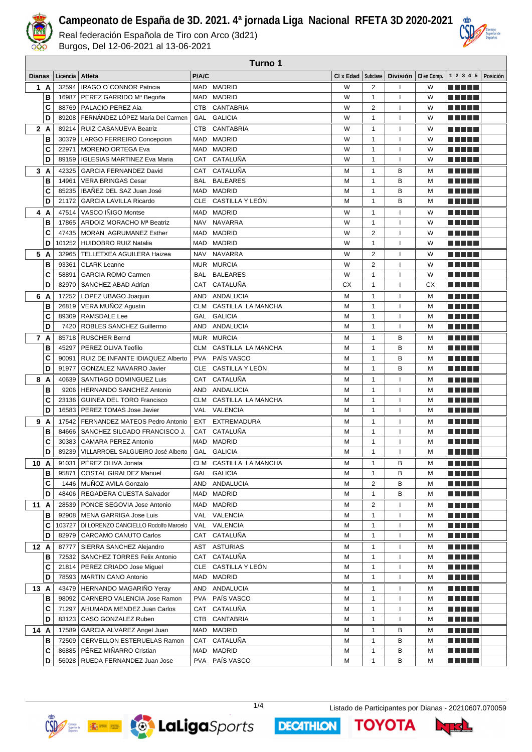

Real federación Española de Tiro con Arco (3d21) Burgos, Del 12-06-2021 al 13-06-2021

|        |          |                                      |            | Turno 1            |           |                         |                          |                       |                     |          |
|--------|----------|--------------------------------------|------------|--------------------|-----------|-------------------------|--------------------------|-----------------------|---------------------|----------|
| Dianas | Licencia | Atleta                               | P/A/C      |                    | CI x Edad | Subclase                |                          | División   Clen Comp. | 1 2 3 4 5           | Posición |
| 1 A    | 32594    | IRAGO O'CONNOR Patricia              | MAD        | <b>MADRID</b>      | W         | $\overline{2}$          | 1                        | W                     |                     |          |
| B      | 16987    | PEREZ GARRIDO Mª Begoña              | MAD        | <b>MADRID</b>      | W         | $\mathbf{1}$            | $\overline{1}$           | W                     |                     |          |
| C      | 88769    | PALACIO PEREZ Aia                    | <b>CTB</b> | CANTABRIA          | W         | 2                       | $\overline{\phantom{a}}$ | W                     | M TI DI L           |          |
| D      | 89208    | FERNÁNDEZ LÓPEZ María Del Carmen     | GAL        | <b>GALICIA</b>     | W         | $\mathbf{1}$            | $\overline{\phantom{a}}$ | W                     |                     |          |
| 2 A    | 89214    | RUIZ CASANUEVA Beatriz               | <b>CTB</b> | <b>CANTABRIA</b>   | W         | 1                       | $\overline{\phantom{a}}$ | W                     |                     |          |
| B      | 30379    | LARGO FERREIRO Concepcion            | <b>MAD</b> | <b>MADRID</b>      | W         | $\mathbf{1}$            | $\overline{1}$           | W                     |                     |          |
| C      | 22971    | <b>MORENO ORTEGA Eva</b>             | <b>MAD</b> | <b>MADRID</b>      | W         | $\mathbf{1}$            | $\overline{\phantom{a}}$ | W                     | .                   |          |
| D      | 89159    | <b>IGLESIAS MARTINEZ Eva Maria</b>   | CAT        | CATALUÑA           | W         | $\mathbf{1}$            | $\overline{\phantom{a}}$ | W                     | n din bir           |          |
| 3A     | 42325    | <b>GARCIA FERNANDEZ David</b>        | <b>CAT</b> | CATALUÑA           | М         | $\mathbf{1}$            | B                        | м                     | n din bir           |          |
| B      | 14961    | <b>VERA BRINGAS Cesar</b>            | <b>BAL</b> | <b>BALEARES</b>    | М         | $\mathbf{1}$            | B                        | м                     | n din se            |          |
| C      | 85235    | IBAÑEZ DEL SAZ Juan José             | <b>MAD</b> | <b>MADRID</b>      | М         | $\mathbf{1}$            | B                        | M                     |                     |          |
| D      | 21172    | <b>GARCIA LAVILLA Ricardo</b>        | <b>CLE</b> | CASTILLA Y LEÓN    | M         | $\mathbf{1}$            | B                        | M                     |                     |          |
| 4<br>A | 47514    | VASCO IÑIGO Montse                   | <b>MAD</b> | <b>MADRID</b>      | W         | $\mathbf{1}$            | $\mathbf{I}$             | W                     |                     |          |
| B      | 17865    | ARDOIZ MORACHO Mª Beatriz            | <b>NAV</b> | <b>NAVARRA</b>     | W         | $\mathbf{1}$            | $\mathbf{I}$             | W                     |                     |          |
| C      | 47435    | MORAN AGRUMANEZ Esther               | <b>MAD</b> | <b>MADRID</b>      | W         | $\overline{2}$          | $\overline{1}$           | W                     |                     |          |
| D      | 101252   | <b>HUIDOBRO RUIZ Natalia</b>         | <b>MAD</b> | <b>MADRID</b>      | W         | $\mathbf{1}$            | $\mathbf{I}$             | W                     |                     |          |
| 5 A    | 32965    | <b>TELLETXEA AGUILERA Haizea</b>     | <b>NAV</b> | <b>NAVARRA</b>     | W         | $\overline{2}$          | $\mathbf{I}$             | W                     | n din bir           |          |
| B      | 93361    | <b>CLARK Leanne</b>                  | MUR        | <b>MURCIA</b>      | W         | $\overline{2}$          | $\mathbf{I}$             | W                     |                     |          |
| C      | 58891    | <b>GARCIA ROMO Carmen</b>            | <b>BAL</b> | <b>BALEARES</b>    | W         | $\mathbf{1}$            | $\overline{1}$           | W                     |                     |          |
| D      | 82970    | SANCHEZ ABAD Adrian                  | <b>CAT</b> | CATALUÑA           | CX        | $\mathbf{1}$            | $\overline{\phantom{a}}$ | <b>CX</b>             |                     |          |
| 6 A    | 17252    | LOPEZ UBAGO Joaquin                  | <b>AND</b> | <b>ANDALUCIA</b>   | М         | $\mathbf{1}$            | ı                        | м                     |                     |          |
| В      |          | 26819   VERA MUÑOZ Agustin           | <b>CLM</b> | CASTILLA LA MANCHA | М         | $\mathbf{1}$            | $\overline{1}$           | M                     |                     |          |
| C      | 89309    | <b>RAMSDALE Lee</b>                  | <b>GAL</b> | <b>GALICIA</b>     | M         | $\mathbf{1}$            | $\overline{1}$           | M                     |                     |          |
| D      | 7420     | ROBLES SANCHEZ Guillermo             | AND        | ANDALUCIA          | M         | $\mathbf{1}$            | $\overline{1}$           | M                     |                     |          |
| 7 A    | 85718    | <b>RUSCHER Bernd</b>                 | <b>MUR</b> | <b>MURCIA</b>      | М         | 1                       | В                        | M                     | .                   |          |
| B      | 45297    | PEREZ OLIVA Teofilo                  | <b>CLM</b> | CASTILLA LA MANCHA | M         | $\mathbf{1}$            | B                        | M                     |                     |          |
| C      | 90091    | RUIZ DE INFANTE IDIAQUEZ Alberto     | <b>PVA</b> | PAÍS VASCO         | M         | $\mathbf{1}$            | B                        | M                     |                     |          |
| D      | 91977    | GONZALEZ NAVARRO Javier              | <b>CLE</b> | CASTILLA Y LEÓN    | М         | $\mathbf{1}$            | B                        | M                     | n din bir           |          |
| 8 A    | 40639    | SANTIAGO DOMINGUEZ Luis              | CAT        | CATALUÑA           | М         | $\mathbf{1}$            | $\mathbf{I}$             | м                     | MA MBI 20           |          |
| в      | 9206     | <b>HERNANDO SANCHEZ Antonio</b>      | <b>AND</b> | <b>ANDALUCIA</b>   | М         | $\mathbf{1}$            | $\overline{1}$           | м                     | n din bir           |          |
| C      | 23136    | <b>GUINEA DEL TORO Francisco</b>     | <b>CLM</b> | CASTILLA LA MANCHA | М         | $\mathbf{1}$            | $\mathbf{I}$             | M                     |                     |          |
| D      | 16583    | PEREZ TOMAS Jose Javier              | <b>VAL</b> | VALENCIA           | M         | $\mathbf{1}$            | $\mathbf{I}$             | M                     |                     |          |
| 9 A    | 17542    | FERNANDEZ MATEOS Pedro Antonio       | <b>EXT</b> | <b>EXTREMADURA</b> | М         | $\mathbf{1}$            | $\mathbf{I}$             | м                     | e de la parte       |          |
| В      | 84666    | SANCHEZ SILGADO FRANCISCO J.         | CAT        | CATALUÑA           | M         | $\mathbf{1}$            | $\mathbf{I}$             | M                     | .                   |          |
| C      | 30383    | <b>CAMARA PEREZ Antonio</b>          | <b>MAD</b> | <b>MADRID</b>      | M         | $\mathbf{1}$            | $\overline{1}$           | M                     |                     |          |
| D      | 89239    | VILLARROEL SALGUEIRO José Alberto    |            | GAL GALICIA        | M         | $\mathbf{1}$            | $\overline{\phantom{a}}$ | M                     |                     |          |
| 10 A   | 91031    | PEREZ OLIVA Jonata                   | CLM        | CASTILLA LA MANCHA | М         | 1                       | В                        | M                     | <u> El Bratal</u>   |          |
| в      | 95871    | <b>COSTAL GIRALDEZ Manuel</b>        | GAL        | <b>GALICIA</b>     | М         | $\mathbf{1}$            | B                        | М                     | <u> Literatur</u>   |          |
| C      |          | 1446   MUÑOZ AVILA Gonzalo           |            | AND ANDALUCIA      | М         | $\overline{\mathbf{c}}$ | B                        | M                     | <u> Here i s</u>    |          |
| D      |          | 48406   REGADERA CUESTA Salvador     |            | MAD MADRID         | М         | $\mathbf{1}$            | B                        | М                     | <u> Here</u>        |          |
| 11A    |          | 28539   PONCE SEGOVIA Jose Antonio   |            | MAD MADRID         | М         | 2                       | ı                        | М                     | <u> Listo de la</u> |          |
| в      |          | 92908   MENA GARRIGA Jose Luis       |            | VAL VALENCIA       | М         | $\mathbf{1}$            |                          | М                     | <u> Literatur</u>   |          |
| c      | 103727   | DI LORENZO CANCIELLO Rodolfo Marcelo |            | VAL VALENCIA       | М         | 1                       | ı                        | М                     | <u> Literatur</u>   |          |
| D      | 82979    | CARCAMO CANUTO Carlos                | CAT        | CATALUÑA           | М         | $\mathbf{1}$            | ı                        | M                     | a da bid            |          |
| 12 A   | 87777    | SIERRA SANCHEZ Alejandro             |            | AST ASTURIAS       | М         | 1                       | ı                        | М                     | <u> El Bratal</u>   |          |
| в      |          | 72532   SANCHEZ TORRES Felix Antonio | CAT        | CATALUÑA           | М         | $\mathbf{1}$            | ı                        | M                     | <u> El Bratal</u>   |          |
| C      | 21814    | PEREZ CRIADO Jose Miguel             | CLE        | CASTILLA Y LEÓN    | М         | $\mathbf{1}$            | ı                        | м                     | <u> Literatur</u>   |          |
| D      | 78593    | <b>MARTIN CANO Antonio</b>           |            | MAD MADRID         | М         | $\mathbf{1}$            | $\overline{1}$           | M                     | <u> El El El E</u>  |          |
| 13 A   |          | 43479 HERNANDO MAGARIÑO Yeray        |            | AND ANDALUCIA      | м         | $\mathbf{1}$            | $\mathbf{I}$             | м                     | a da bid            |          |
| в      | 98092    | CARNERO VALENCIA Jose Ramon          |            | PVA PAÍS VASCO     | М         | $\mathbf{1}$            | $\mathbf{I}$             | М                     | ME DE L             |          |
| C      | 71297    | AHUMADA MENDEZ Juan Carlos           |            | CAT CATALUÑA       | М         | $\mathbf{1}$            | $\overline{\phantom{a}}$ | м                     | <u> Listo de la</u> |          |
| D      |          | 83123   CASO GONZALEZ Ruben          |            | CTB CANTABRIA      | М         | $\mathbf{1}$            | $\mathbf{I}$             | М                     | <u> El Bratal</u>   |          |
| 14 A   |          | 17589   GARCIA ALVAREZ Angel Juan    |            | MAD MADRID         | м         | $\mathbf{1}$            | в                        | м                     | <u> Literatur</u>   |          |
| в      |          | 72509   CERVELLON ESTERUELAS Ramon   |            | CAT CATALUÑA       | М         | $\mathbf{1}$            | в                        | М                     | <u> Literatur</u>   |          |
| С      |          | 86885   PÉREZ MIÑARRO Cristian       |            | MAD MADRID         | М         | $\mathbf{1}$            | в                        | M                     |                     |          |
| D      |          | 56028   RUEDA FERNANDEZ Juan Jose    |            | PVA PAÍS VASCO     | М         | 1                       | в                        | М                     |                     |          |



**DECATHLON** 

1/4 Listado de Participantes por Dianas - 20210607.070059

**TOYOTA** 

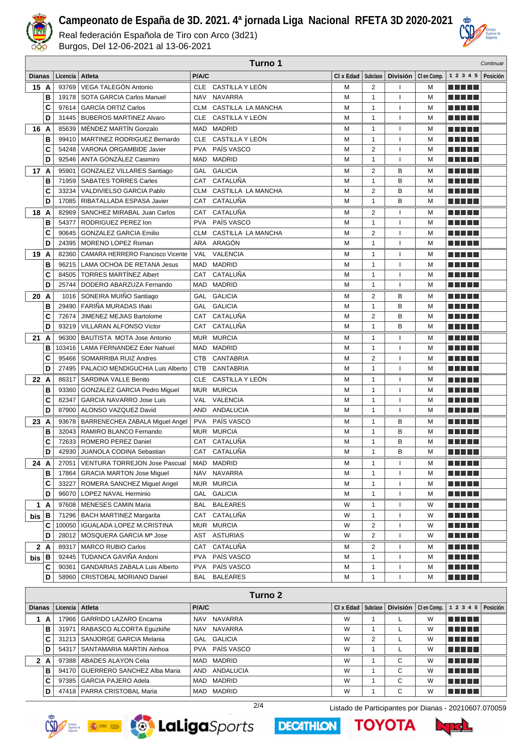

Real federación Española de Tiro con Arco (3d21) Burgos, Del 12-06-2021 al 13-06-2021

|               |      | Turno 1  |                                      |            |                    |                      |                         |                |                       |                           |          |
|---------------|------|----------|--------------------------------------|------------|--------------------|----------------------|-------------------------|----------------|-----------------------|---------------------------|----------|
| <b>Dianas</b> |      | Licencia | Atleta                               | P/A/C      |                    | CI x Edad   Subclase |                         |                | División   Clen Comp. | 1 2 3 4 5                 | Posición |
|               | 15 A | 93769    | VEGA TALEGÓN Antonio                 | <b>CLE</b> | CASTILLA Y LEÓN    | M                    | 2                       |                | м                     | n din bin                 |          |
|               | B    | 19178    | SOTA GARCIA Carlos Manuel            | <b>NAV</b> | <b>NAVARRA</b>     | M                    | $\mathbf{1}$            | $\mathbf{I}$   | M                     | TI TI T                   |          |
|               | C    | 97614    | <b>GARCÍA ORTIZ Carlos</b>           | CLM        | CASTILLA LA MANCHA | M                    | 1                       | $\overline{1}$ | M                     | .                         |          |
|               | D    | 31445    | <b>BUBEROS MARTINEZ Alvaro</b>       | <b>CLE</b> | CASTILLA Y LEÓN    | M                    | $\mathbf{1}$            |                | M                     | n di Tin                  |          |
|               | 16 A | 85639    | MÉNDEZ MARTÍN Gonzalo                | <b>MAD</b> | <b>MADRID</b>      | м                    | 1                       |                | M                     | MA MARI                   |          |
|               | B    | 99410    | MARTINEZ RODRIGUEZ Bernardo          | <b>CLE</b> | CASTILLA Y LEÓN    | M                    | $\mathbf{1}$            |                | M                     | n din Film                |          |
|               | C    | 54248    | VARONA ORGAMBIDE Javier              | <b>PVA</b> | PAÍS VASCO         | M                    | $\overline{2}$          |                | M                     | n din bir                 |          |
|               | D    | 92546    | ANTA GONZÁLEZ Casimiro               | <b>MAD</b> | <b>MADRID</b>      | M                    | $\mathbf{1}$            | $\overline{1}$ | M                     | n na m                    |          |
|               | 17 A | 95901    | <b>GONZALEZ VILLARES Santiago</b>    | GAL        | <b>GALICIA</b>     | M                    | $\overline{2}$          | B              | M                     | M M M M                   |          |
|               | B    | 71959    | <b>SABATES TORRES Carles</b>         | CAT        | CATALUÑA           | M                    | $\mathbf{1}$            | B              | M                     | n di Tin                  |          |
|               | C    | 33234    | VALDIVIELSO GARCIA Pablo             | <b>CLM</b> | CASTILLA LA MANCHA | M                    | $\overline{2}$          | B              | M                     | M M J J J J               |          |
|               | D    | 17085    | RIBATALLADA ESPASA Javier            | CAT        | CATALUÑA           | M                    | 1                       | B              | M                     |                           |          |
|               | 18 A | 82969    | SANCHEZ MIRABAL Juan Carlos          | CAT        | CATALUÑA           | М                    | 2                       | $\mathbf{I}$   | M                     | n n n n n                 |          |
|               | B    | 54377    | RODRIGUEZ PEREZ Ion                  | <b>PVA</b> | PAÍS VASCO         | M                    | 1                       | $\mathbf{I}$   | M                     |                           |          |
|               | C    | 90645    | <b>GONZALEZ GARCIA Emilio</b>        | <b>CLM</b> | CASTILLA LA MANCHA | M                    | $\overline{2}$          | $\mathbf{I}$   | M                     | .                         |          |
|               | D    | 24395    | MORENO LOPEZ Roman                   | ARA        | ARAGÓN             | M                    | $\mathbf{1}$            | $\mathbf{I}$   | M                     | .                         |          |
|               | 19 A | 82360    | CAMARA HERRERO Francisco Vicente     | <b>VAL</b> | <b>VALENCIA</b>    | М                    | $\mathbf{1}$            | $\mathbf{I}$   | M                     | ma mata                   |          |
|               | B    | 96215    | LAMA OCHOA DE RETANA Jesus           | <b>MAD</b> | <b>MADRID</b>      | M                    | $\mathbf{1}$            |                | M                     |                           |          |
|               | C    | 84505    | <b>TORRES MARTINEZ Albert</b>        | <b>CAT</b> | CATALUÑA           | M                    | $\mathbf{1}$            | $\mathbf{I}$   | M                     |                           |          |
|               | D    | 25744    | DODERO ABARZUZA Fernando             | MAD        | <b>MADRID</b>      | M                    | $\mathbf{1}$            |                | M                     | .                         |          |
|               | 20 A | 1016     | SONEIRA MUIÑO Santiago               | GAL        | <b>GALICIA</b>     | М                    | 2                       | B              | M                     |                           |          |
|               | B    | 29490    | FARIÑA MURADAS Iñaki                 | GAL        | <b>GALICIA</b>     | M                    | $\mathbf{1}$            | B              | M                     | TI TILL                   |          |
|               | C    | 72674    | JIMENEZ MEJIAS Bartolome             | <b>CAT</b> | CATALUÑA           | M                    | $\overline{2}$          | B              | M                     | n di Titolo               |          |
|               | D    | 93219    | <b>VILLARAN ALFONSO Victor</b>       | <b>CAT</b> | CATALUÑA           | M                    | $\mathbf{1}$            | B              | M                     | n di Titolo               |          |
|               | 21 A | 96300    | BAUTISTA MOTA Jose Antonio           | <b>MUR</b> | <b>MURCIA</b>      | м                    | 1                       |                | M                     | MA MAR                    |          |
|               | В    | 103416   | LAMA FERNANDEZ Eder Nahuel           | MAD        | <b>MADRID</b>      | M                    | $\mathbf{1}$            |                | M                     | M M M M                   |          |
|               | С    | 95466    | SOMARRIBA RUIZ Andres                | <b>CTB</b> | <b>CANTABRIA</b>   | M                    | $\overline{2}$          |                | M                     | <u> El El El E</u>        |          |
|               | D    | 27495    | PALACIO MENDIGUCHIA Luis Alberto     | <b>CTB</b> | <b>CANTABRIA</b>   | M                    | $\mathbf{1}$            | $\mathbf{I}$   | M                     | M M M M M                 |          |
|               | 22 A | 86317    | SARDINA VALLE Benito                 | <b>CLE</b> | CASTILLA Y LEÓN    | M                    | $\mathbf{1}$            | $\mathbf{I}$   | M                     | M M M M                   |          |
|               | В    | 93360    | <b>GONZALEZ GARCIA Pedro Miguel</b>  | <b>MUR</b> | <b>MURCIA</b>      | M                    | $\mathbf{1}$            | $\mathbf{I}$   | M                     | M M M M                   |          |
|               | C    | 82347    | <b>GARCIA NAVARRO Jose Luis</b>      | <b>VAL</b> | <b>VALENCIA</b>    | M                    | $\mathbf{1}$            | $\mathbf{I}$   | M                     | n di Titolo               |          |
|               | D    | 87900    | ALONSO VAZQUEZ David                 | <b>AND</b> | <b>ANDALUCIA</b>   | M                    | 1                       | $\mathbf{I}$   | M                     | n di Titolo               |          |
|               | 23 A | 93678    | BARRENECHEA ZABALA Miguel Angel      | <b>PVA</b> | PAÍS VASCO         | М                    | $\mathbf{1}$            | в              | M                     | n di Titolo               |          |
|               | B    | 32043    | RAMIRO BLANCO Fernando               |            | MUR MURCIA         | M                    | 1                       | B              | M                     | n din bin                 |          |
|               | C    | 72633    | <b>ROMERO PEREZ Daniel</b>           | <b>CAT</b> | CATALUÑA           | М                    | $\mathbf{1}$            | B              | M                     |                           |          |
|               | D    | 42930    | <b>JUANOLA CODINA Sebastian</b>      |            | CAT CATALUÑA       | M                    | $\mathbf{1}$            | B              | M                     |                           |          |
|               | 24 A | 27051    | <b>VENTURA TORREJON Jose Pascual</b> |            | MAD MADRID         | М                    | 1                       | $\mathbf{I}$   | M                     | <u> Literatur</u>         |          |
|               | в    | 17864    | <b>GRACIA MARTON Jose Miguel</b>     | NAV        | NAVARRA            | М                    | 1                       |                | M                     | <u> Literatur</u>         |          |
|               | C    | 33227    | ROMERA SANCHEZ Miguel Angel          |            | MUR MURCIA         | М                    | 1                       |                | M                     | M M M M M                 |          |
|               | D    | 96070    | LOPEZ NAVAL Herminio                 |            | GAL GALICIA        | М                    | $\mathbf{1}$            |                | M                     | N N N N N                 |          |
|               | 1 A  | 97608    | MENESES CAMIN Maria                  |            | BAL BALEARES       | W                    | 1                       |                | W                     | H H H H H                 |          |
| $b$ is $ B $  |      | 71296    | <b>BACH MARTINEZ Margarita</b>       |            | CAT CATALUÑA       | W                    | $\mathbf{1}$            |                | W                     | <u> Literatur</u>         |          |
|               | С    | 100050   | IGUALADA LOPEZ M.CRISTINA            |            | MUR MURCIA         | W                    | $\overline{\mathbf{c}}$ |                | W                     | <u> Literatura de la </u> |          |
|               | D    | 28012    | MOSQUERA GARCIA Mª Jose              | AST        | <b>ASTURIAS</b>    | W                    | $\overline{2}$          |                | W                     | <u> El El El E</u>        |          |
|               | 2 A  | 89317    | <b>MARCO RUBIO Carlos</b>            | CAT        | CATALUÑA           | м                    | 2                       |                | м                     | <u> Literatur</u>         |          |
| $b$ is $ B $  |      |          | 92445   TUDANCA GAVIÑA Andoni        | PVA        | PAÍS VASCO         | М                    | $\mathbf{1}$            |                | M                     | <u> El El El </u>         |          |
|               | C    | 90361    | <b>GANDARIAS ZABALA Luis Alberto</b> | PVA        | PAÍS VASCO         | M                    | $\mathbf{1}$            |                | M                     | <u> Literatur</u>         |          |
|               | D    | 58960    | CRISTOBAL MORIANO Daniel             | BAL        | <b>BALEARES</b>    | М                    | $\mathbf{1}$            |                | М                     | <u> BERTH</u>             |          |

|               | Turno 2 |                 |                                   |            |                |                              |   |   |   |                                            |  |  |  |
|---------------|---------|-----------------|-----------------------------------|------------|----------------|------------------------------|---|---|---|--------------------------------------------|--|--|--|
| <b>Dianas</b> |         | Licencia Atleta |                                   | P/A/C      |                | $Cl x$ Edad $ $ Subclase $ $ |   |   |   | División $ $ Clen Comp. $ 12345 $ Posición |  |  |  |
|               | A       |                 | 17966   GARRIDO LAZARO Encarna    | <b>NAV</b> | NAVARRA        | W                            |   |   | W | T FI FI FI                                 |  |  |  |
|               | в       | 31971           | RABASCO ALCORTA Equzkiñe          | <b>NAV</b> | <b>NAVARRA</b> | W                            |   |   | W | TELELT                                     |  |  |  |
|               | C       |                 | 31213   SANJORGE GARCIA Melania   |            | GAL GALICIA    | W                            | 2 |   | W | THEFT                                      |  |  |  |
|               | D       |                 | 54317   SANTAMARIA MARTIN Ainhoa  |            | PVA PAÍS VASCO | W                            |   |   | W | TELET                                      |  |  |  |
|               | 2 A     |                 | 97388   ABADES ALAYON Celia       |            | MAD MADRID     | W                            |   | C | W | TELEL                                      |  |  |  |
|               | в       |                 | 94170 GUERRERO SANCHEZ Alba Maria | AND        | ANDALUCIA      | W                            |   | C | W | T FIFTI T                                  |  |  |  |
|               |         |                 | 97385   GARCIA PAJERO Adela       |            | MAD MADRID     | W                            |   | C | W | T FIFTI T                                  |  |  |  |
|               | D       |                 | 47418   PARRA CRISTOBAL Maria     |            | MAD MADRID     | W                            |   | C | W |                                            |  |  |  |









2/4 Listado de Participantes por Dianas - 20210607.070059

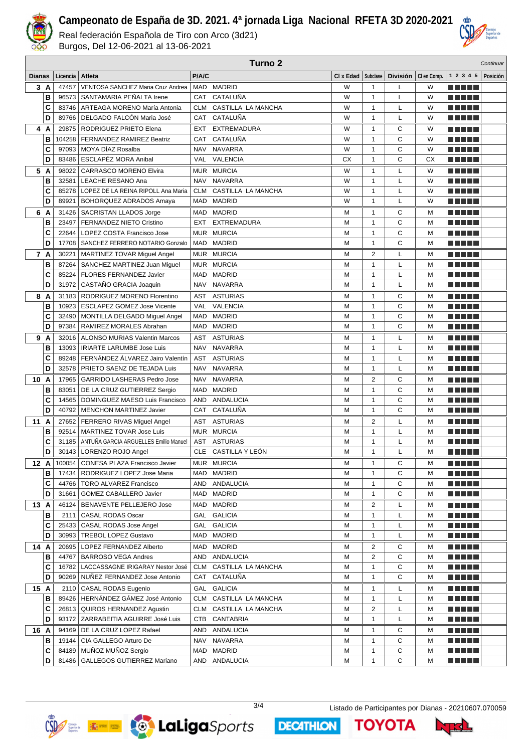

Real federación Española de Tiro con Arco (3d21) Burgos, Del 12-06-2021 al 13-06-2021

|        |           |                | Turno <sub>2</sub><br>Continuar                                    |                   |                                     |           |                              |        |                       |  |                                        |                              |
|--------|-----------|----------------|--------------------------------------------------------------------|-------------------|-------------------------------------|-----------|------------------------------|--------|-----------------------|--|----------------------------------------|------------------------------|
| Dianas |           | Licencia       | Atleta                                                             | P/A/C             |                                     | CI x Edad | Subclase                     |        | División   Clen Comp. |  |                                        | $1 \t2 \t3 \t4 \t5$ Posición |
|        | 3A        | 47457          | VENTOSA SANCHEZ Maria Cruz Andrea                                  | MAD               | <b>MADRID</b>                       | W         | $\mathbf{1}$                 | L      | W                     |  | n din bir                              |                              |
|        | B         | 96573          | SANTAMARIA PEÑALTA Irene                                           | CAT               | CATALUÑA                            | W         | $\mathbf{1}$                 | L      | W                     |  |                                        |                              |
|        | C         | 83746          | ARTEAGA MORENO María Antonia                                       | <b>CLM</b>        | CASTILLA LA MANCHA                  | W         | $\mathbf{1}$                 | L      | W                     |  |                                        |                              |
|        | D         | 89766          | DELGADO FALCÓN Maria José                                          | CAT               | CATALUÑA                            | W         | $\mathbf{1}$                 | Г      | W                     |  |                                        |                              |
|        | 4 A       | 29875          | RODRIGUEZ PRIETO Elena                                             | EXT               | <b>EXTREMADURA</b>                  | W         | $\mathbf{1}$                 | С      | W                     |  |                                        |                              |
|        | B         | 104258         | FERNANDEZ RAMIREZ Beatriz                                          | CAT               | CATALUÑA                            | W         | $\mathbf{1}$                 | С      | W                     |  | an bin birni                           |                              |
|        | C         | 97093          | MOYA DÍAZ Rosalba                                                  | <b>NAV</b>        | <b>NAVARRA</b>                      | W         | $\mathbf{1}$                 | С      | W                     |  |                                        |                              |
|        | D         | 83486          | ESCLAPÉZ MORA Anibal                                               | VAL               | <b>VALENCIA</b>                     | СX        | $\mathbf{1}$                 | C      | <b>CX</b>             |  |                                        |                              |
|        | 5 A       | 98022          | <b>CARRASCO MORENO Elvira</b>                                      |                   | MUR MURCIA                          | W         | $\mathbf{1}$                 | Г      | W                     |  | e gin rin                              |                              |
|        | B         | 32581          | LEACHE RESANO Ana                                                  | <b>NAV</b>        | <b>NAVARRA</b>                      | W         | $\mathbf{1}$                 | Г      | W                     |  |                                        |                              |
|        | C<br>D    | 85278<br>89921 | LOPEZ DE LA REINA RIPOLL Ana Maria<br>BOHORQUEZ ADRADOS Amaya      | <b>CLM</b><br>MAD | CASTILLA LA MANCHA<br><b>MADRID</b> | W<br>W    | 1<br>$\mathbf{1}$            | Г<br>Г | W<br>W                |  |                                        |                              |
|        | 6 A       |                |                                                                    | MAD               | <b>MADRID</b>                       | М         | 1                            | С      | М                     |  |                                        |                              |
|        | B         | 23497          | 31426   SACRISTAN LLADOS Jorge<br>FERNANDEZ NIETO Cristino         | EXT               | <b>EXTREMADURA</b>                  | M         | $\mathbf{1}$                 | C      | M                     |  |                                        |                              |
|        | C         | 22644          | LOPEZ COSTA Francisco Jose                                         | <b>MUR</b>        | <b>MURCIA</b>                       | М         | $\mathbf{1}$                 | C      | M                     |  | n din se                               |                              |
|        | D         | 17708          | SANCHEZ FERRERO NOTARIO Gonzalo                                    | <b>MAD</b>        | <b>MADRID</b>                       | M         | $\mathbf{1}$                 | С      | M                     |  | n din ka                               |                              |
|        | 7 A       | 30221          | MARTINEZ TOVAR Miguel Angel                                        | <b>MUR</b>        | <b>MURCIA</b>                       | М         | $\overline{2}$               | Г      | м                     |  | n din Film                             |                              |
|        | B         | 87264          | SANCHEZ MARTINEZ Juan Miguel                                       | <b>MUR</b>        | <b>MURCIA</b>                       | М         | $\mathbf{1}$                 | Г      | м                     |  | MA MAT                                 |                              |
|        | C         | 85224          | FLORES FERNANDEZ Javier                                            | <b>MAD</b>        | <b>MADRID</b>                       | М         | $\mathbf{1}$                 | Г      | M                     |  | .                                      |                              |
|        | D         | 31972          | CASTAÑO GRACIA Joaquin                                             | <b>NAV</b>        | <b>NAVARRA</b>                      | M         | $\mathbf{1}$                 | Г      | M                     |  | <u> Literatur in Sa</u>                |                              |
|        | 8 A       |                | 31183 RODRIGUEZ MORENO Florentino                                  | AST               | <b>ASTURIAS</b>                     | М         | $\mathbf{1}$                 | С      | м                     |  | n din bir                              |                              |
|        | B         | 10923          | <b>ESCLAPEZ GOMEZ Jose Vicente</b>                                 | <b>VAL</b>        | <b>VALENCIA</b>                     | М         | $\mathbf{1}$                 | C      | M                     |  |                                        |                              |
|        | C         | 32490          | MONTILLA DELGADO Miguel Angel                                      | <b>MAD</b>        | <b>MADRID</b>                       | M         | $\mathbf{1}$                 | C      | M                     |  |                                        |                              |
|        | D         | 97384          | RAMIREZ MORALES Abrahan                                            | <b>MAD</b>        | <b>MADRID</b>                       | M         | $\mathbf{1}$                 | C      | M                     |  |                                        |                              |
|        | 9 A       | 32016          | ALONSO MURIAS Valentin Marcos                                      | AST               | <b>ASTURIAS</b>                     | М         | $\mathbf{1}$                 | Г      | M                     |  |                                        |                              |
|        | B         | 13093          | <b>IRIARTE LARUMBE Jose Luis</b>                                   | <b>NAV</b>        | <b>NAVARRA</b>                      | M         | $\mathbf{1}$                 | Г      | M                     |  |                                        |                              |
|        | C         | 89248          | FERNÁNDEZ ÁLVAREZ Jairo Valentín                                   | AST               | <b>ASTURIAS</b>                     | М         | $\mathbf{1}$                 | L      | M                     |  |                                        |                              |
|        | D         |                | 32578   PRIETO SAENZ DE TEJADA Luis                                | <b>NAV</b>        | NAVARRA                             | M         | $\mathbf{1}$                 | Г      | M                     |  |                                        |                              |
| 10     | A         | 17965          | <b>GARRIDO LASHERAS Pedro Jose</b>                                 | <b>NAV</b>        | <b>NAVARRA</b>                      | М         | 2                            | С      | м                     |  |                                        |                              |
|        | B         | 83051          | DE LA CRUZ GUTIERREZ Sergio                                        | <b>MAD</b><br>AND | <b>MADRID</b><br>ANDALUCIA          | M<br>M    | $\mathbf{1}$<br>$\mathbf{1}$ | C<br>С | M<br>M                |  |                                        |                              |
|        | C<br>D    | 14565<br>40792 | DOMINGUEZ MAESO Luis Francisco<br><b>MENCHON MARTINEZ Javier</b>   | CAT               | CATALUÑA                            | M         | $\mathbf{1}$                 | C      | M                     |  |                                        |                              |
|        | 11A       |                | 27652   FERRERO RIVAS Miguel Angel                                 | AST               | <b>ASTURIAS</b>                     | М         | 2                            | L      | М                     |  |                                        |                              |
|        | B         | 92514          | MARTINEZ TOVAR Jose Luis                                           | <b>MUR</b>        | <b>MURCIA</b>                       | M         | $\mathbf{1}$                 | Г      | M                     |  |                                        |                              |
|        | c         | 31185          | ANTUÑA GARCIA ARGUELLES Emilio Manuel                              | <b>AST</b>        | <b>ASTURIAS</b>                     | М         | $\mathbf{1}$                 | L      | M                     |  |                                        |                              |
|        | D         |                | 30143   LORENZO ROJO Angel                                         |                   | CLE CASTILLA Y LEÓN                 | М         | $\mathbf{1}$                 | L      | М                     |  | <b>TERRITORIA</b>                      |                              |
|        | 12 A      | 100054         | CONESA PLAZA Francisco Javier                                      |                   | MUR MURCIA                          | М         | $\mathbf{1}$                 | С      | М                     |  | a da da d                              |                              |
|        | в         | 17434          | RODRIGUEZ LOPEZ Jose Maria                                         | MAD               | <b>MADRID</b>                       | М         | 1                            | С      | М                     |  | <u> Literatur</u>                      |                              |
|        | C         |                | 44766   TORO ALVAREZ Francisco                                     | AND               | ANDALUCIA                           | М         | $\mathbf{1}$                 | С      | М                     |  | <u> Literatur</u>                      |                              |
|        | D         | 31661          | GOMEZ CABALLERO Javier                                             |                   | MAD MADRID                          | М         | 1                            | С      | М                     |  | <u> Literatur</u>                      |                              |
|        | 13 A      |                | 46124   BENAVENTE PELLEJERO Jose                                   | MAD               | <b>MADRID</b>                       | м         | 2                            | Г      | м                     |  | <u> E SE SE</u>                        |                              |
|        | в         | 2111           | CASAL RODAS Oscar                                                  | GAL               | <b>GALICIA</b>                      | М         | 1                            | L      | М                     |  |                                        |                              |
|        | C         | 25433          | <b>CASAL RODAS Jose Angel</b>                                      | GAL               | <b>GALICIA</b>                      | М         | $\mathbf{1}$                 | L      | М                     |  | o a dia 11                             |                              |
|        | D         | 30993          | <b>TREBOL LOPEZ Gustavo</b>                                        |                   | MAD MADRID                          | М         | $\mathbf{1}$                 | Г      | М                     |  |                                        |                              |
|        | 14 A      | 20695          | LOPEZ FERNANDEZ Alberto                                            |                   | MAD MADRID                          | М         | 2                            | С      | M                     |  | <u> Aleksandrija pa</u>                |                              |
|        | В         | 44767          | <b>BARROSO VEGA Andres</b>                                         |                   | AND ANDALUCIA                       | М         | 2                            | C      | М                     |  |                                        |                              |
|        | C<br>D    |                | 16782   LACCASSAGNE IRIGARAY Nestor José                           | CLM               | CASTILLA LA MANCHA<br>CAT CATALUÑA  | М         | $\mathbf{1}$                 | С<br>С | м                     |  | <u> Alexandria de la p</u>             |                              |
|        |           |                | 90269   NUNEZ FERNANDEZ Jose Antonio                               |                   | GAL GALICIA                         | М         | 1                            |        | М                     |  | <u> Literatur</u>                      |                              |
|        | 15 A<br>В |                | 2110   CASAL RODAS Eugenio<br>89426   HERNÁNDEZ GÁMEZ José Antonio |                   | CLM CASTILLA LA MANCHA              | М<br>М    | 1<br>$\mathbf{1}$            | L<br>L | М<br>M                |  | <u> Literatur</u><br><u> Literatur</u> |                              |
|        | c         |                | 26813   QUIROS HERNANDEZ Agustin                                   |                   | CLM CASTILLA LA MANCHA              | М         | 2                            | Г      | М                     |  | <u> Literatur</u>                      |                              |
|        | D         |                | 93172   ZARRABEITIA AGUIRRE José Luis                              | CTB               | CANTABRIA                           | М         | $\mathbf{1}$                 | L      | М                     |  | <u> Literatur</u>                      |                              |
|        | 16 A      |                | 94169   DE LA CRUZ LOPEZ Rafael                                    | AND               | ANDALUCIA                           | М         | 1                            | С      | М                     |  | <u> Literatur</u>                      |                              |
|        | в         |                | 19144   CIA GALLEGO Arturo De                                      |                   | NAV NAVARRA                         | М         | $\mathbf{1}$                 | C      | M                     |  | a da bid                               |                              |
|        | c         |                | 84189 MUÑOZ MUÑOZ Sergio                                           |                   | MAD MADRID                          | М         | $\mathbf{1}$                 | C      | M                     |  | <u> Literatur</u>                      |                              |
|        | D         |                | 81486   GALLEGOS GUTIERREZ Mariano                                 |                   | AND ANDALUCIA                       | М         | $\mathbf{1}$                 | С      | М                     |  | ME DE L                                |                              |





**DECATHLON** 

3/4 Listado de Participantes por Dianas - 20210607.070059

**TOYOTA**